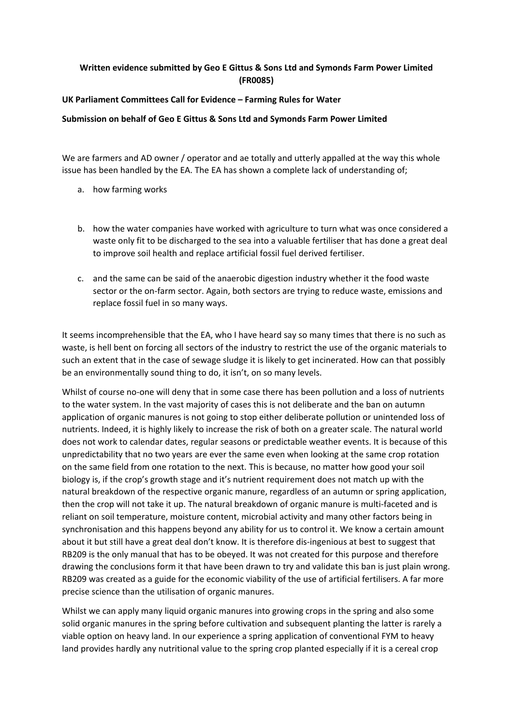## **Written evidence submitted by Geo E Gittus & Sons Ltd and Symonds Farm Power Limited (FR0085)**

## **UK Parliament Committees Call for Evidence – Farming Rules for Water**

## **Submission on behalf of Geo E Gittus & Sons Ltd and Symonds Farm Power Limited**

We are farmers and AD owner / operator and ae totally and utterly appalled at the way this whole issue has been handled by the EA. The EA has shown a complete lack of understanding of;

- a. how farming works
- b. how the water companies have worked with agriculture to turn what was once considered a waste only fit to be discharged to the sea into a valuable fertiliser that has done a great deal to improve soil health and replace artificial fossil fuel derived fertiliser.
- c. and the same can be said of the anaerobic digestion industry whether it the food waste sector or the on-farm sector. Again, both sectors are trying to reduce waste, emissions and replace fossil fuel in so many ways.

It seems incomprehensible that the EA, who I have heard say so many times that there is no such as waste, is hell bent on forcing all sectors of the industry to restrict the use of the organic materials to such an extent that in the case of sewage sludge it is likely to get incinerated. How can that possibly be an environmentally sound thing to do, it isn't, on so many levels.

Whilst of course no-one will deny that in some case there has been pollution and a loss of nutrients to the water system. In the vast majority of cases this is not deliberate and the ban on autumn application of organic manures is not going to stop either deliberate pollution or unintended loss of nutrients. Indeed, it is highly likely to increase the risk of both on a greater scale. The natural world does not work to calendar dates, regular seasons or predictable weather events. It is because of this unpredictability that no two years are ever the same even when looking at the same crop rotation on the same field from one rotation to the next. This is because, no matter how good your soil biology is, if the crop's growth stage and it's nutrient requirement does not match up with the natural breakdown of the respective organic manure, regardless of an autumn or spring application, then the crop will not take it up. The natural breakdown of organic manure is multi-faceted and is reliant on soil temperature, moisture content, microbial activity and many other factors being in synchronisation and this happens beyond any ability for us to control it. We know a certain amount about it but still have a great deal don't know. It is therefore dis-ingenious at best to suggest that RB209 is the only manual that has to be obeyed. It was not created for this purpose and therefore drawing the conclusions form it that have been drawn to try and validate this ban is just plain wrong. RB209 was created as a guide for the economic viability of the use of artificial fertilisers. A far more precise science than the utilisation of organic manures.

Whilst we can apply many liquid organic manures into growing crops in the spring and also some solid organic manures in the spring before cultivation and subsequent planting the latter is rarely a viable option on heavy land. In our experience a spring application of conventional FYM to heavy land provides hardly any nutritional value to the spring crop planted especially if it is a cereal crop